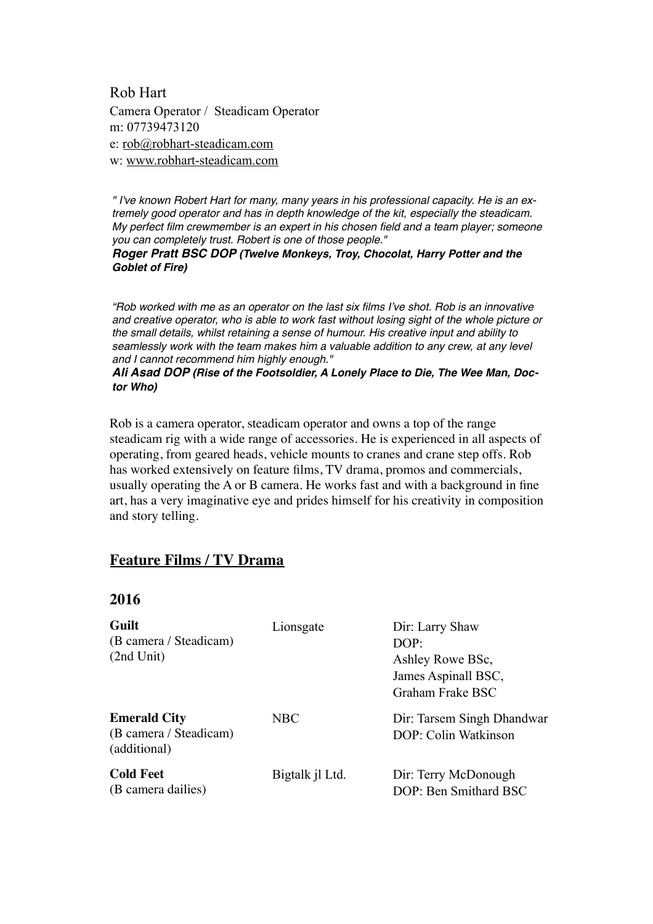Rob Hart Camera Operator / Steadicam Operator m: 07739473120 e: [rob@robhart-steadicam.com](mailto:rob@robhart-steadicam.com) w: [www.robhart-steadicam.com](http://www.robhart-steadicam.com)

*" I've known Robert Hart for many, many years in his professional capacity. He is an extremely good operator and has in depth knowledge of the kit, especially the steadicam. My perfect film crewmember is an expert in his chosen field and a team player; someone you can completely trust. Robert is one of those people."* 

*Roger Pratt BSC DOP (Twelve Monkeys, Troy, Chocolat, Harry Potter and the Goblet of Fire)*

*"Rob worked with me as an operator on the last six films I've shot. Rob is an innovative and creative operator, who is able to work fast without losing sight of the whole picture or the small details, whilst retaining a sense of humour. His creative input and ability to seamlessly work with the team makes him a valuable addition to any crew, at any level and I cannot recommend him highly enough."* 

*Ali Asad DOP (Rise of the Footsoldier, A Lonely Place to Die, The Wee Man, Doctor Who)*

Rob is a camera operator, steadicam operator and owns a top of the range steadicam rig with a wide range of accessories. He is experienced in all aspects of operating, from geared heads, vehicle mounts to cranes and crane step offs. Rob has worked extensively on feature films, TV drama, promos and commercials, usually operating the A or B camera. He works fast and with a background in fine art, has a very imaginative eye and prides himself for his creativity in composition and story telling.

#### **Feature Films / TV Drama**

#### **2016**

| Guilt<br>(B camera / Steadicam)<br>(2nd Unit)                 | Lionsgate       | Dir: Larry Shaw<br>DOP:<br>Ashley Rowe BSc,<br>James Aspinall BSC,<br>Graham Frake BSC |
|---------------------------------------------------------------|-----------------|----------------------------------------------------------------------------------------|
| <b>Emerald City</b><br>(B camera / Steadicam)<br>(additional) | <b>NBC</b>      | Dir: Tarsem Singh Dhandwar<br>DOP: Colin Watkinson                                     |
| <b>Cold Feet</b><br>(B camera dailies)                        | Bigtalk jl Ltd. | Dir: Terry McDonough<br>DOP: Ben Smithard BSC                                          |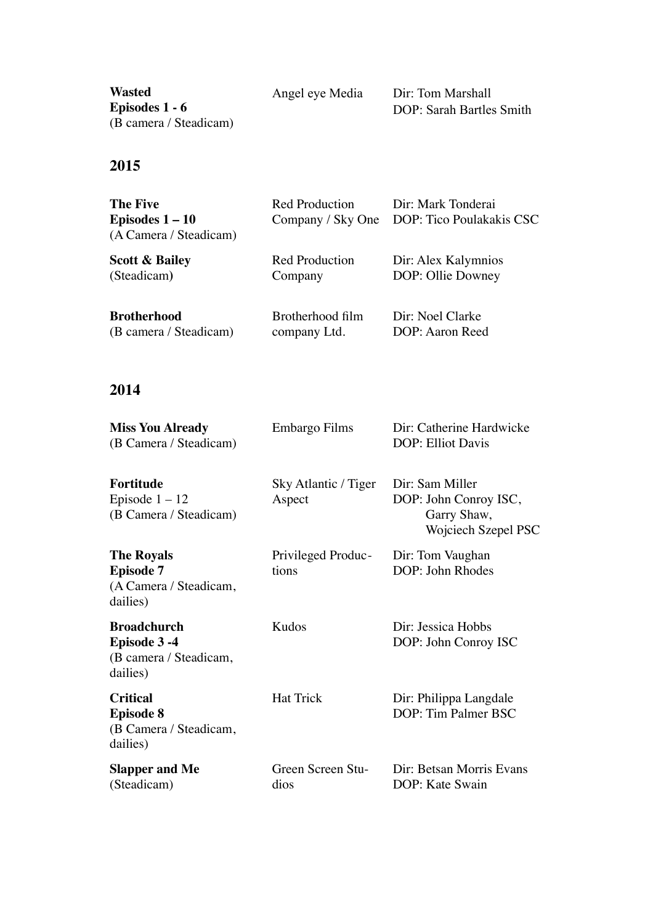**Wasted Episodes 1 - 6** (B camera / Steadicam)

Angel eye Media Dir: Tom Marshall DOP: Sarah Bartles Smith

#### **2015**

| <b>The Five</b><br>Episodes $1-10$<br>(A Camera / Steadicam) | Red Production<br>Company / Sky One | Dir: Mark Tonderai<br>DOP: Tico Poulakakis CSC |
|--------------------------------------------------------------|-------------------------------------|------------------------------------------------|
| <b>Scott &amp; Bailey</b>                                    | <b>Red Production</b>               | Dir: Alex Kalymnios                            |
| (Steadicam)                                                  | Company                             | DOP: Ollie Downey                              |
| <b>Brotherhood</b>                                           | Brotherhood film                    | Dir: Noel Clarke                               |
| (B camera / Steadicam)                                       | company Ltd.                        | DOP: Aaron Reed                                |

#### **2014**

| <b>Miss You Already</b><br>(B Camera / Steadicam)                           | Embargo Films                  | Dir: Catherine Hardwicke<br><b>DOP: Elliot Davis</b>                           |
|-----------------------------------------------------------------------------|--------------------------------|--------------------------------------------------------------------------------|
| <b>Fortitude</b><br>Episode $1 - 12$<br>(B Camera / Steadicam)              | Sky Atlantic / Tiger<br>Aspect | Dir: Sam Miller<br>DOP: John Conroy ISC,<br>Garry Shaw,<br>Wojciech Szepel PSC |
| <b>The Royals</b><br><b>Episode 7</b><br>(A Camera / Steadicam,<br>dailies) | Privileged Produc-<br>tions    | Dir: Tom Vaughan<br>DOP: John Rhodes                                           |
| <b>Broadchurch</b><br>Episode 3-4<br>(B camera / Steadicam,<br>dailies)     | Kudos                          | Dir: Jessica Hobbs<br>DOP: John Conroy ISC                                     |
| <b>Critical</b><br><b>Episode 8</b><br>(B Camera / Steadicam,<br>dailies)   | <b>Hat Trick</b>               | Dir: Philippa Langdale<br>DOP: Tim Palmer BSC                                  |
| <b>Slapper and Me</b><br>(Steadicam)                                        | Green Screen Stu-<br>dios      | Dir: Betsan Morris Evans<br>DOP: Kate Swain                                    |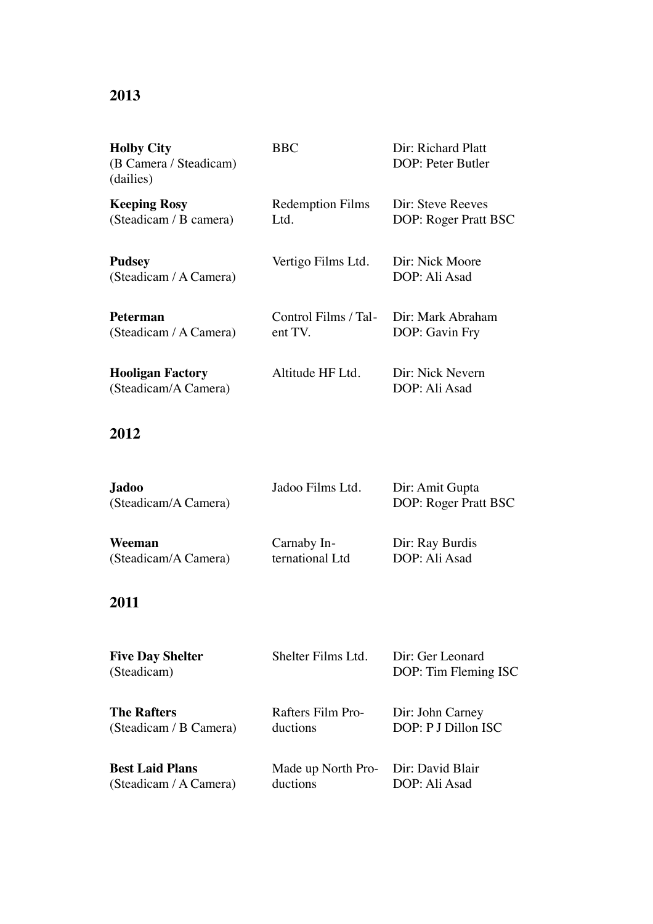# **2013**

| <b>Holby City</b><br>(B Camera / Steadicam)<br>(dailies) | <b>BBC</b>                      | Dir: Richard Platt<br>DOP: Peter Butler   |
|----------------------------------------------------------|---------------------------------|-------------------------------------------|
| <b>Keeping Rosy</b><br>(Steadicam / B camera)            | <b>Redemption Films</b><br>Ltd. | Dir: Steve Reeves<br>DOP: Roger Pratt BSC |
| <b>Pudsey</b><br>(Steadicam / A Camera)                  | Vertigo Films Ltd.              | Dir: Nick Moore<br>DOP: Ali Asad          |
| <b>Peterman</b><br>(Steadicam / A Camera)                | Control Films / Tal-<br>ent TV. | Dir: Mark Abraham<br>DOP: Gavin Fry       |
| <b>Hooligan Factory</b><br>(Steadicam/A Camera)          | Altitude HF Ltd.                | Dir: Nick Nevern<br>DOP: Ali Asad         |

# **2012**

| Jadoo<br>(Steadicam/A Camera) | Jadoo Films Ltd. | Dir: Amit Gupta<br>DOP: Roger Pratt BSC |
|-------------------------------|------------------|-----------------------------------------|
| Weeman                        | Carnaby In-      | Dir: Ray Burdis                         |
| (Steadicam/A Camera)          | ternational Ltd  | DOP: Ali Asad                           |

# **2011**

| <b>Five Day Shelter</b><br>(Steadicam)           | Shelter Films Ltd.                              | Dir: Ger Leonard<br>DOP: Tim Fleming ISC |
|--------------------------------------------------|-------------------------------------------------|------------------------------------------|
| <b>The Rafters</b><br>(Steadicam / B Camera)     | Rafters Film Pro-<br>ductions                   | Dir: John Carney<br>DOP: P J Dillon ISC  |
| <b>Best Laid Plans</b><br>(Steadicam / A Camera) | Made up North Pro- Dir: David Blair<br>ductions | DOP: Ali Asad                            |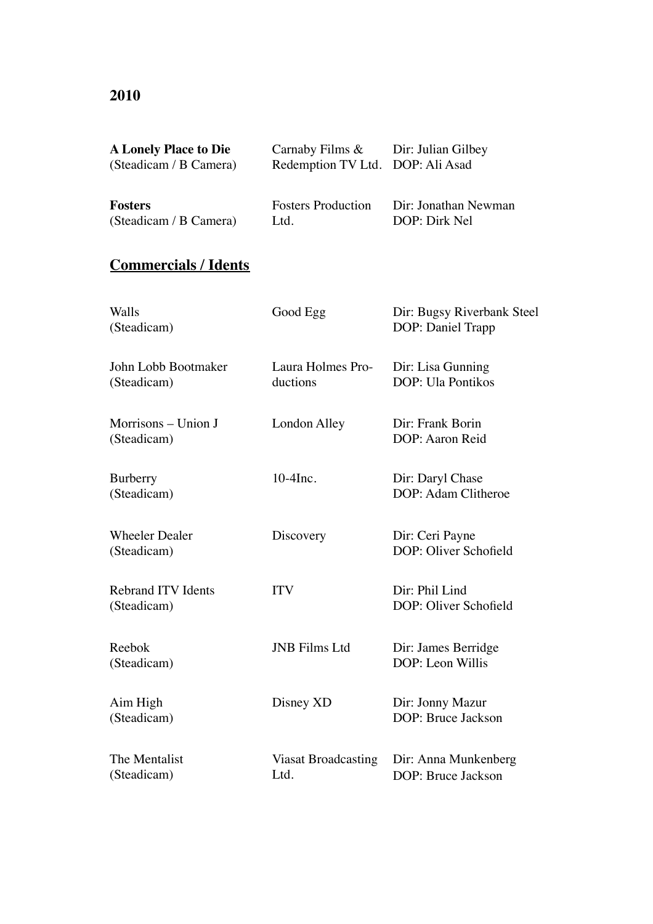#### **2010**

| <b>A Lonely Place to Die</b> | Carnaby Films $\&$ Dir: Julian Gilbey |                      |
|------------------------------|---------------------------------------|----------------------|
| (Steadicam / B Camera)       | Redemption TV Ltd. DOP: Ali Asad      |                      |
|                              |                                       |                      |
| <b>Fosters</b>               | <b>Fosters Production</b>             | Dir: Jonathan Newman |
|                              |                                       |                      |
| (Steadicam / B Camera)       | Ltd.                                  | DOP: Dirk Nel        |

# **Commercials / Idents**

| Walls<br>(Steadicam)                     | Good Egg                           | Dir: Bugsy Riverbank Steel<br>DOP: Daniel Trapp |
|------------------------------------------|------------------------------------|-------------------------------------------------|
| John Lobb Bootmaker<br>(Steadicam)       | Laura Holmes Pro-<br>ductions      | Dir: Lisa Gunning<br><b>DOP</b> : Ula Pontikos  |
| Morrisons – Union J<br>(Steadicam)       | London Alley                       | Dir: Frank Borin<br>DOP: Aaron Reid             |
| Burberry<br>(Steadicam)                  | $10-4$ Inc.                        | Dir: Daryl Chase<br>DOP: Adam Clitheroe         |
| <b>Wheeler Dealer</b><br>(Steadicam)     | Discovery                          | Dir: Ceri Payne<br>DOP: Oliver Schofield        |
| <b>Rebrand ITV Idents</b><br>(Steadicam) | <b>ITV</b>                         | Dir: Phil Lind<br>DOP: Oliver Schofield         |
| Reebok<br>(Steadicam)                    | <b>JNB</b> Films Ltd               | Dir: James Berridge<br>DOP: Leon Willis         |
| Aim High<br>(Steadicam)                  | Disney XD                          | Dir: Jonny Mazur<br>DOP: Bruce Jackson          |
| The Mentalist<br>(Steadicam)             | <b>Viasat Broadcasting</b><br>Ltd. | Dir: Anna Munkenberg<br>DOP: Bruce Jackson      |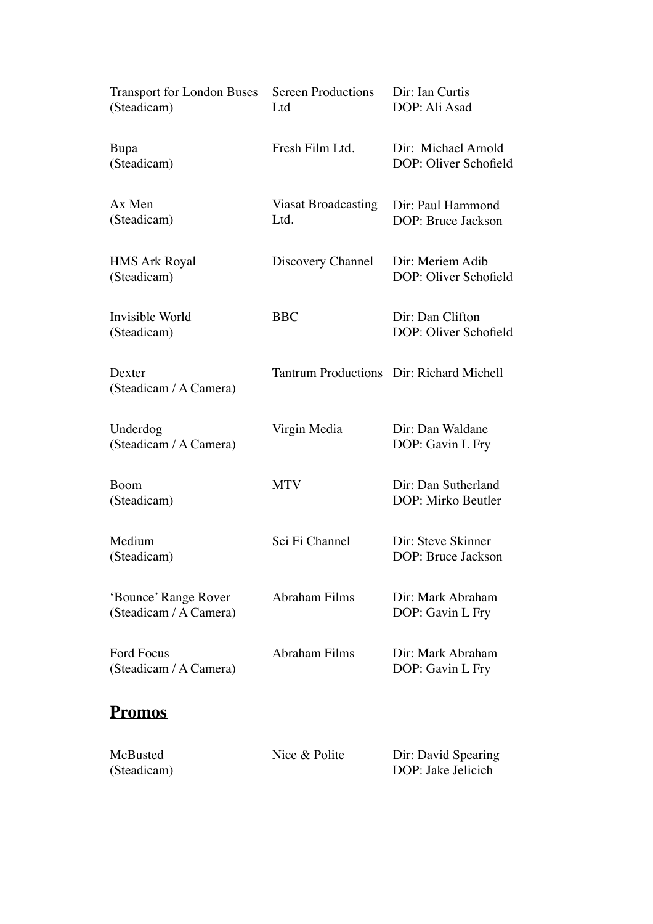| <b>Transport for London Buses</b><br>(Steadicam) | <b>Screen Productions</b><br>Ltd | Dir: Ian Curtis<br>DOP: Ali Asad             |
|--------------------------------------------------|----------------------------------|----------------------------------------------|
| Bupa<br>(Steadicam)                              | Fresh Film Ltd.                  | Dir: Michael Arnold<br>DOP: Oliver Schofield |
| Ax Men<br>(Steadicam)                            | Viasat Broadcasting<br>Ltd.      | Dir: Paul Hammond<br>DOP: Bruce Jackson      |
| <b>HMS Ark Royal</b><br>(Steadicam)              | Discovery Channel                | Dir: Meriem Adib<br>DOP: Oliver Schofield    |
| Invisible World<br>(Steadicam)                   | <b>BBC</b>                       | Dir: Dan Clifton<br>DOP: Oliver Schofield    |
| Dexter<br>(Steadicam / A Camera)                 |                                  | Tantrum Productions Dir: Richard Michell     |
| Underdog<br>(Steadicam / A Camera)               | Virgin Media                     | Dir: Dan Waldane<br>DOP: Gavin L Fry         |
| Boom<br>(Steadicam)                              | <b>MTV</b>                       | Dir: Dan Sutherland<br>DOP: Mirko Beutler    |
| Medium<br>(Steadicam)                            | Sci Fi Channel                   | Dir: Steve Skinner<br>DOP: Bruce Jackson     |
| 'Bounce' Range Rover<br>(Steadicam / A Camera)   | Abraham Films                    | Dir: Mark Abraham<br>DOP: Gavin L Fry        |
| <b>Ford Focus</b><br>(Steadicam / A Camera)      | <b>Abraham Films</b>             | Dir: Mark Abraham<br>DOP: Gavin L Fry        |
| <b>Promos</b>                                    |                                  |                                              |
| McBusted<br>(Steadicam)                          | Nice & Polite                    | Dir: David Spearing<br>DOP: Jake Jelicich    |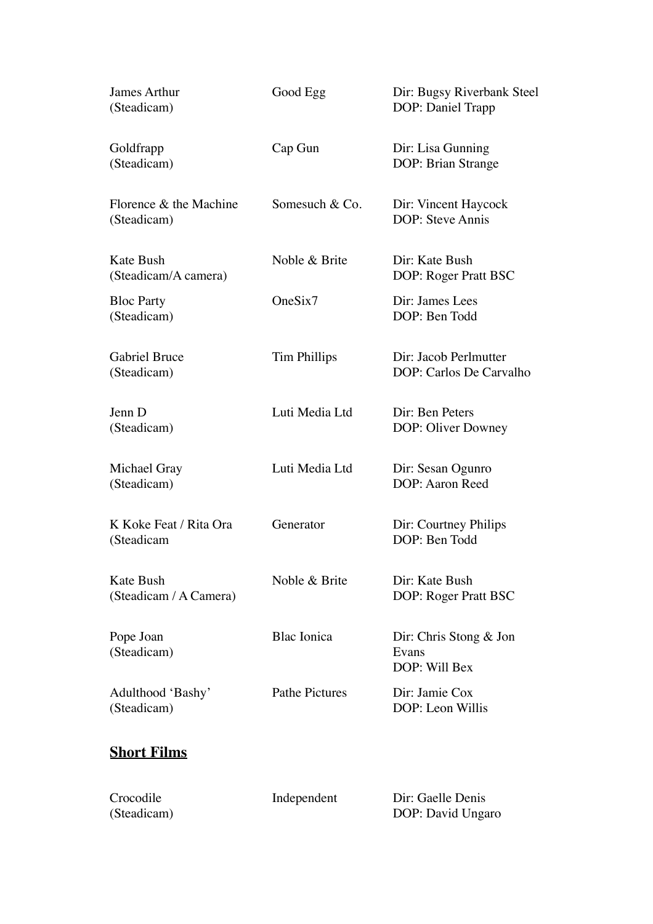| James Arthur<br>(Steadicam)           | Good Egg              | Dir: Bugsy Riverbank Steel<br>DOP: Daniel Trapp    |
|---------------------------------------|-----------------------|----------------------------------------------------|
| Goldfrapp<br>(Steadicam)              | Cap Gun               | Dir: Lisa Gunning<br>DOP: Brian Strange            |
| Florence & the Machine<br>(Steadicam) | Somesuch & Co.        | Dir: Vincent Haycock<br>DOP: Steve Annis           |
| Kate Bush<br>(Steadicam/A camera)     | Noble & Brite         | Dir: Kate Bush<br>DOP: Roger Pratt BSC             |
| <b>Bloc Party</b><br>(Steadicam)      | OneSix7               | Dir: James Lees<br>DOP: Ben Todd                   |
| <b>Gabriel Bruce</b><br>(Steadicam)   | Tim Phillips          | Dir: Jacob Perlmutter<br>DOP: Carlos De Carvalho   |
| Jenn D<br>(Steadicam)                 | Luti Media Ltd        | Dir: Ben Peters<br>DOP: Oliver Downey              |
| Michael Gray<br>(Steadicam)           | Luti Media Ltd        | Dir: Sesan Ogunro<br>DOP: Aaron Reed               |
| K Koke Feat / Rita Ora<br>(Steadicam  | Generator             | Dir: Courtney Philips<br>DOP: Ben Todd             |
| Kate Bush<br>(Steadicam / A Camera)   | Noble & Brite         | Dir: Kate Bush<br>DOP: Roger Pratt BSC             |
| Pope Joan<br>(Steadicam)              | <b>Blac</b> Ionica    | Dir: Chris Stong $&$ Jon<br>Evans<br>DOP: Will Bex |
| Adulthood 'Bashy'<br>(Steadicam)      | <b>Pathe Pictures</b> | Dir: Jamie Cox<br>DOP: Leon Willis                 |
| <b>Short Films</b>                    |                       |                                                    |

| Crocodile   | Independent | Dir: Gaelle Denis |
|-------------|-------------|-------------------|
| (Steadicam) |             | DOP: David Ungaro |